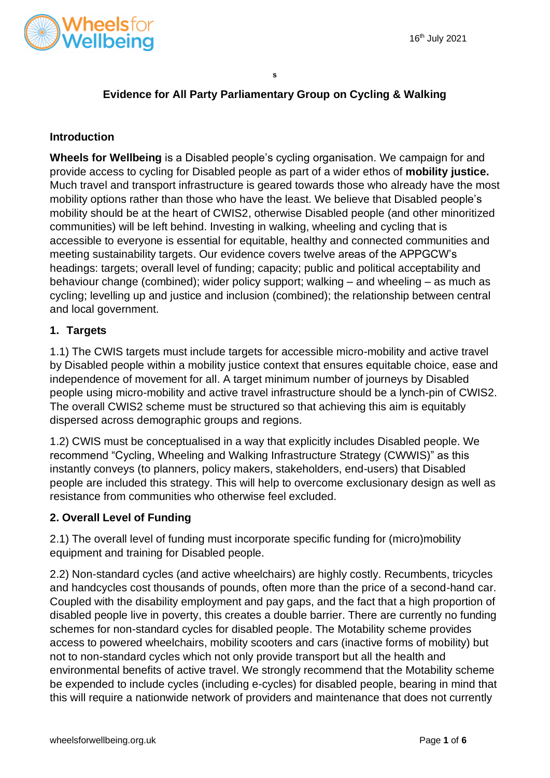

# **Evidence for All Party Parliamentary Group on Cycling & Walking**

### **Introduction**

**Wheels for Wellbeing** is a Disabled people's cycling organisation. We campaign for and provide access to cycling for Disabled people as part of a wider ethos of **mobility justice.**  Much travel and transport infrastructure is geared towards those who already have the most mobility options rather than those who have the least. We believe that Disabled people's mobility should be at the heart of CWIS2, otherwise Disabled people (and other minoritized communities) will be left behind. Investing in walking, wheeling and cycling that is accessible to everyone is essential for equitable, healthy and connected communities and meeting sustainability targets. Our evidence covers twelve areas of the APPGCW's headings: targets; overall level of funding; capacity; public and political acceptability and behaviour change (combined); wider policy support; walking – and wheeling – as much as cycling; levelling up and justice and inclusion (combined); the relationship between central and local government.

# **1. Targets**

1.1) The CWIS targets must include targets for accessible micro-mobility and active travel by Disabled people within a mobility justice context that ensures equitable choice, ease and independence of movement for all. A target minimum number of journeys by Disabled people using micro-mobility and active travel infrastructure should be a lynch-pin of CWIS2. The overall CWIS2 scheme must be structured so that achieving this aim is equitably dispersed across demographic groups and regions.

1.2) CWIS must be conceptualised in a way that explicitly includes Disabled people. We recommend "Cycling, Wheeling and Walking Infrastructure Strategy (CWWIS)" as this instantly conveys (to planners, policy makers, stakeholders, end-users) that Disabled people are included this strategy. This will help to overcome exclusionary design as well as resistance from communities who otherwise feel excluded.

# **2. Overall Level of Funding**

2.1) The overall level of funding must incorporate specific funding for (micro)mobility equipment and training for Disabled people.

2.2) Non-standard cycles (and active wheelchairs) are highly costly. Recumbents, tricycles and handcycles cost thousands of pounds, often more than the price of a second-hand car. Coupled with the disability employment and pay gaps, and the fact that a high proportion of disabled people live in poverty, this creates a double barrier. There are currently no funding schemes for non-standard cycles for disabled people. The Motability scheme provides access to powered wheelchairs, mobility scooters and cars (inactive forms of mobility) but not to non-standard cycles which not only provide transport but all the health and environmental benefits of active travel. We strongly recommend that the Motability scheme be expended to include cycles (including e-cycles) for disabled people, bearing in mind that this will require a nationwide network of providers and maintenance that does not currently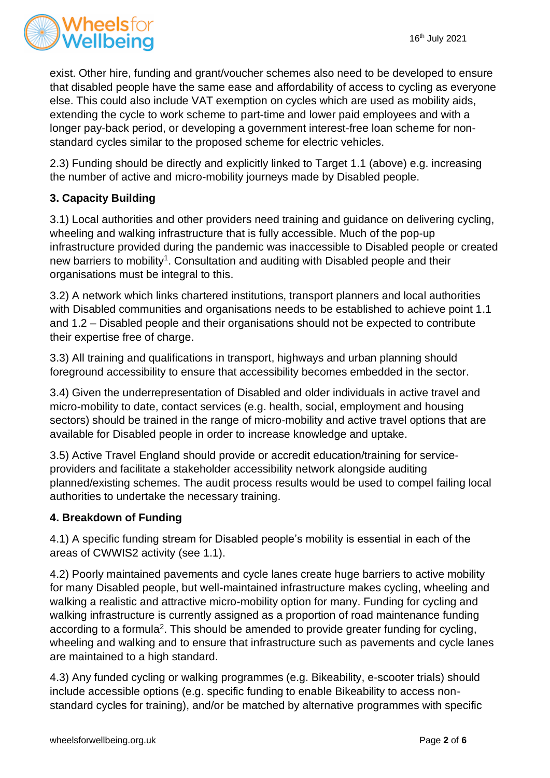

exist. Other hire, funding and grant/voucher schemes also need to be developed to ensure that disabled people have the same ease and affordability of access to cycling as everyone else. This could also include VAT exemption on cycles which are used as mobility aids, extending the cycle to work scheme to part-time and lower paid employees and with a longer pay-back period, or developing a government interest-free loan scheme for nonstandard cycles similar to the proposed scheme for electric vehicles.

2.3) Funding should be directly and explicitly linked to Target 1.1 (above) e.g. increasing the number of active and micro-mobility journeys made by Disabled people.

# **3. Capacity Building**

3.1) Local authorities and other providers need training and guidance on delivering cycling, wheeling and walking infrastructure that is fully accessible. Much of the pop-up infrastructure provided during the pandemic was inaccessible to Disabled people or created new barriers to mobility<sup>1</sup>. Consultation and auditing with Disabled people and their organisations must be integral to this.

3.2) A network which links chartered institutions, transport planners and local authorities with Disabled communities and organisations needs to be established to achieve point 1.1 and 1.2 – Disabled people and their organisations should not be expected to contribute their expertise free of charge.

3.3) All training and qualifications in transport, highways and urban planning should foreground accessibility to ensure that accessibility becomes embedded in the sector.

3.4) Given the underrepresentation of Disabled and older individuals in active travel and micro-mobility to date, contact services (e.g. health, social, employment and housing sectors) should be trained in the range of micro-mobility and active travel options that are available for Disabled people in order to increase knowledge and uptake.

3.5) Active Travel England should provide or accredit education/training for serviceproviders and facilitate a stakeholder accessibility network alongside auditing planned/existing schemes. The audit process results would be used to compel failing local authorities to undertake the necessary training.

# **4. Breakdown of Funding**

4.1) A specific funding stream for Disabled people's mobility is essential in each of the areas of CWWIS2 activity (see 1.1).

4.2) Poorly maintained pavements and cycle lanes create huge barriers to active mobility for many Disabled people, but well-maintained infrastructure makes cycling, wheeling and walking a realistic and attractive micro-mobility option for many. Funding for cycling and walking infrastructure is currently assigned as a proportion of road maintenance funding according to a formula<sup>2</sup>. This should be amended to provide greater funding for cycling, wheeling and walking and to ensure that infrastructure such as pavements and cycle lanes are maintained to a high standard.

4.3) Any funded cycling or walking programmes (e.g. Bikeability, e-scooter trials) should include accessible options (e.g. specific funding to enable Bikeability to access nonstandard cycles for training), and/or be matched by alternative programmes with specific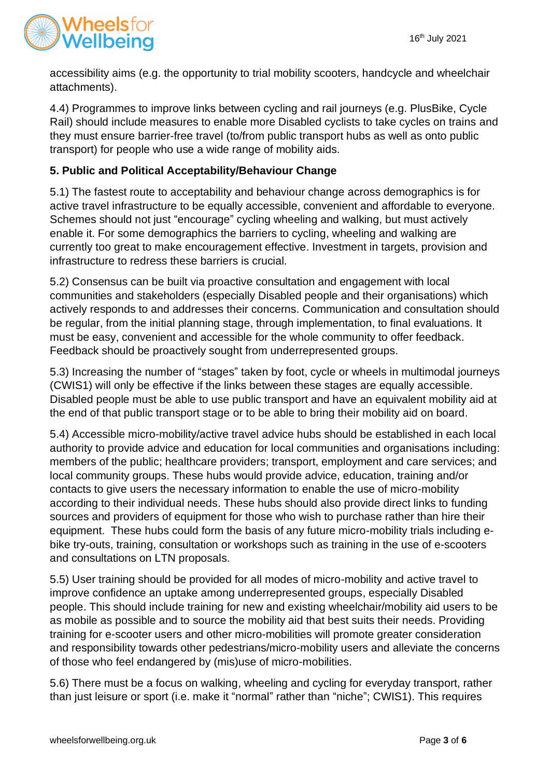

accessibility aims (e.g. the opportunity to trial mobility scooters, handcycle and wheelchair attachments).

4.4) Programmes to improve links between cycling and rail journeys (e.g. PlusBike, Cycle Rail) should include measures to enable more Disabled cyclists to take cycles on trains and they must ensure barrier-free travel (to/from public transport hubs as well as onto public transport) for people who use a wide range of mobility aids.

# **5. Public and Political Acceptability/Behaviour Change**

5.1) The fastest route to acceptability and behaviour change across demographics is for active travel infrastructure to be equally accessible, convenient and affordable to everyone. Schemes should not just "encourage" cycling wheeling and walking, but must actively enable it. For some demographics the barriers to cycling, wheeling and walking are currently too great to make encouragement effective. Investment in targets, provision and infrastructure to redress these barriers is crucial.

5.2) Consensus can be built via proactive consultation and engagement with local communities and stakeholders (especially Disabled people and their organisations) which actively responds to and addresses their concerns. Communication and consultation should be regular, from the initial planning stage, through implementation, to final evaluations. It must be easy, convenient and accessible for the whole community to offer feedback. Feedback should be proactively sought from underrepresented groups.

5.3) Increasing the number of "stages" taken by foot, cycle or wheels in multimodal journeys (CWIS1) will only be effective if the links between these stages are equally accessible. Disabled people must be able to use public transport and have an equivalent mobility aid at the end of that public transport stage or to be able to bring their mobility aid on board.

5.4) Accessible micro-mobility/active travel advice hubs should be established in each local authority to provide advice and education for local communities and organisations including: members of the public; healthcare providers; transport, employment and care services; and local community groups. These hubs would provide advice, education, training and/or contacts to give users the necessary information to enable the use of micro-mobility according to their individual needs. These hubs should also provide direct links to funding sources and providers of equipment for those who wish to purchase rather than hire their equipment. These hubs could form the basis of any future micro-mobility trials including ebike try-outs, training, consultation or workshops such as training in the use of e-scooters and consultations on LTN proposals.

5.5) User training should be provided for all modes of micro-mobility and active travel to improve confidence an uptake among underrepresented groups, especially Disabled people. This should include training for new and existing wheelchair/mobility aid users to be as mobile as possible and to source the mobility aid that best suits their needs. Providing training for e-scooter users and other micro-mobilities will promote greater consideration and responsibility towards other pedestrians/micro-mobility users and alleviate the concerns of those who feel endangered by (mis)use of micro-mobilities.

5.6) There must be a focus on walking, wheeling and cycling for everyday transport, rather than just leisure or sport (i.e. make it "normal" rather than "niche"; CWIS1). This requires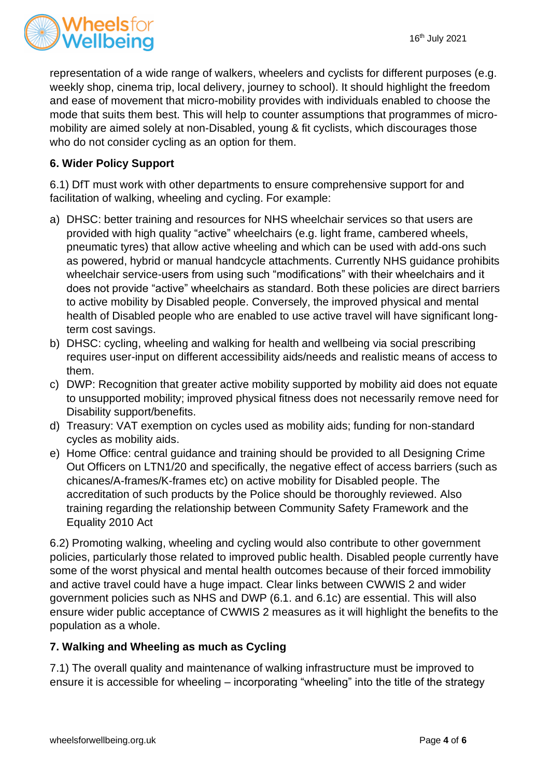

representation of a wide range of walkers, wheelers and cyclists for different purposes (e.g. weekly shop, cinema trip, local delivery, journey to school). It should highlight the freedom and ease of movement that micro-mobility provides with individuals enabled to choose the mode that suits them best. This will help to counter assumptions that programmes of micromobility are aimed solely at non-Disabled, young & fit cyclists, which discourages those who do not consider cycling as an option for them.

# **6. Wider Policy Support**

6.1) DfT must work with other departments to ensure comprehensive support for and facilitation of walking, wheeling and cycling. For example:

- a) DHSC: better training and resources for NHS wheelchair services so that users are provided with high quality "active" wheelchairs (e.g. light frame, cambered wheels, pneumatic tyres) that allow active wheeling and which can be used with add-ons such as powered, hybrid or manual handcycle attachments. Currently NHS guidance prohibits wheelchair service-users from using such "modifications" with their wheelchairs and it does not provide "active" wheelchairs as standard. Both these policies are direct barriers to active mobility by Disabled people. Conversely, the improved physical and mental health of Disabled people who are enabled to use active travel will have significant longterm cost savings.
- b) DHSC: cycling, wheeling and walking for health and wellbeing via social prescribing requires user-input on different accessibility aids/needs and realistic means of access to them.
- c) DWP: Recognition that greater active mobility supported by mobility aid does not equate to unsupported mobility; improved physical fitness does not necessarily remove need for Disability support/benefits.
- d) Treasury: VAT exemption on cycles used as mobility aids; funding for non-standard cycles as mobility aids.
- e) Home Office: central guidance and training should be provided to all Designing Crime Out Officers on LTN1/20 and specifically, the negative effect of access barriers (such as chicanes/A-frames/K-frames etc) on active mobility for Disabled people. The accreditation of such products by the Police should be thoroughly reviewed. Also training regarding the relationship between Community Safety Framework and the Equality 2010 Act

6.2) Promoting walking, wheeling and cycling would also contribute to other government policies, particularly those related to improved public health. Disabled people currently have some of the worst physical and mental health outcomes because of their forced immobility and active travel could have a huge impact. Clear links between CWWIS 2 and wider government policies such as NHS and DWP (6.1. and 6.1c) are essential. This will also ensure wider public acceptance of CWWIS 2 measures as it will highlight the benefits to the population as a whole.

# **7. Walking and Wheeling as much as Cycling**

7.1) The overall quality and maintenance of walking infrastructure must be improved to ensure it is accessible for wheeling – incorporating "wheeling" into the title of the strategy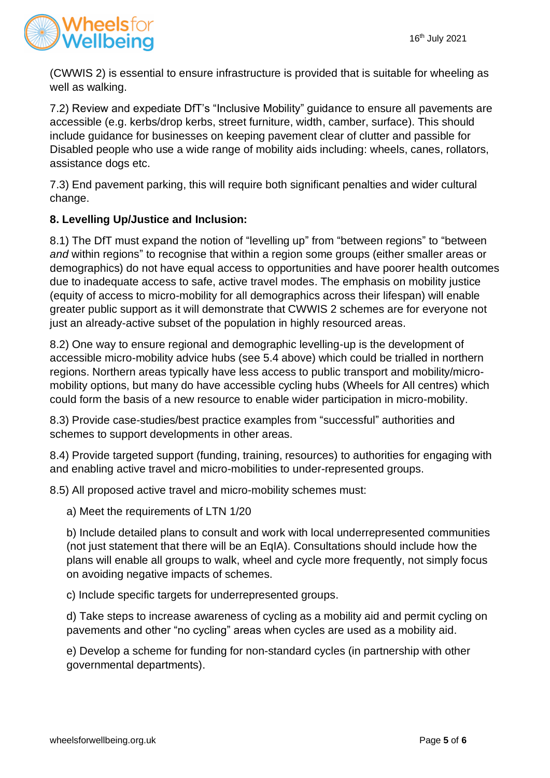

(CWWIS 2) is essential to ensure infrastructure is provided that is suitable for wheeling as well as walking.

7.2) Review and expediate DfT's "Inclusive Mobility" guidance to ensure all pavements are accessible (e.g. kerbs/drop kerbs, street furniture, width, camber, surface). This should include guidance for businesses on keeping pavement clear of clutter and passible for Disabled people who use a wide range of mobility aids including: wheels, canes, rollators, assistance dogs etc.

7.3) End pavement parking, this will require both significant penalties and wider cultural change.

# **8. Levelling Up/Justice and Inclusion:**

8.1) The DfT must expand the notion of "levelling up" from "between regions" to "between *and* within regions" to recognise that within a region some groups (either smaller areas or demographics) do not have equal access to opportunities and have poorer health outcomes due to inadequate access to safe, active travel modes. The emphasis on mobility justice (equity of access to micro-mobility for all demographics across their lifespan) will enable greater public support as it will demonstrate that CWWIS 2 schemes are for everyone not just an already-active subset of the population in highly resourced areas.

8.2) One way to ensure regional and demographic levelling-up is the development of accessible micro-mobility advice hubs (see 5.4 above) which could be trialled in northern regions. Northern areas typically have less access to public transport and mobility/micromobility options, but many do have accessible cycling hubs (Wheels for All centres) which could form the basis of a new resource to enable wider participation in micro-mobility.

8.3) Provide case-studies/best practice examples from "successful" authorities and schemes to support developments in other areas.

8.4) Provide targeted support (funding, training, resources) to authorities for engaging with and enabling active travel and micro-mobilities to under-represented groups.

8.5) All proposed active travel and micro-mobility schemes must:

a) Meet the requirements of LTN 1/20

b) Include detailed plans to consult and work with local underrepresented communities (not just statement that there will be an EqIA). Consultations should include how the plans will enable all groups to walk, wheel and cycle more frequently, not simply focus on avoiding negative impacts of schemes.

c) Include specific targets for underrepresented groups.

d) Take steps to increase awareness of cycling as a mobility aid and permit cycling on pavements and other "no cycling" areas when cycles are used as a mobility aid.

e) Develop a scheme for funding for non-standard cycles (in partnership with other governmental departments).